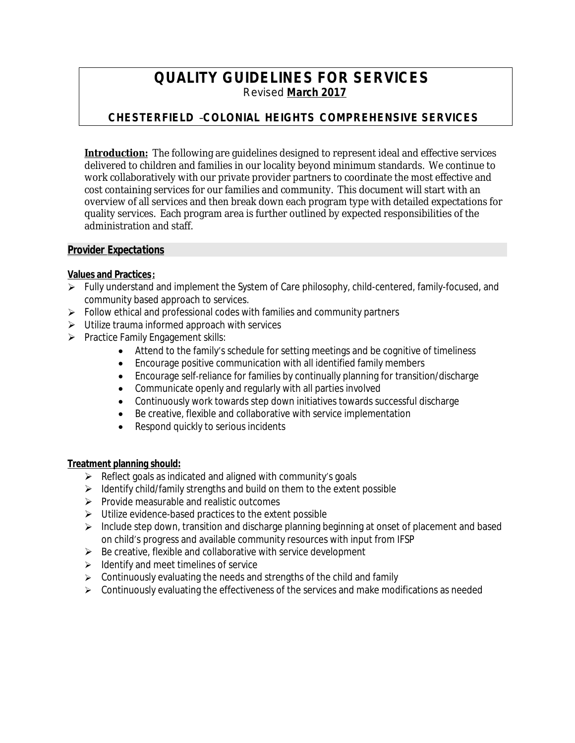# **QUALITY GUIDELINES FOR SERVICES** *Revised March 2017*

## **CHESTERFIELD** –**COLONIAL HEIGHTS COMPREHENSIVE SERVICES**

**Introduction:** The following are guidelines designed to represent ideal and effective services delivered to children and families in our locality beyond minimum standards. We continue to work collaboratively with our private provider partners to coordinate the most effective and cost containing services for our families and community. This document will start with an overview of all services and then break down each program type with detailed expectations for quality services. Each program area is further outlined by expected responsibilities of the administration and staff.

#### *Provider Expectations*

#### **Values and Practices:**

- $\triangleright$  Fully understand and implement the System of Care philosophy, child-centered, family-focused, and community based approach to services.
- $\triangleright$  Follow ethical and professional codes with families and community partners
- $\triangleright$  Utilize trauma informed approach with services
- $\triangleright$  Practice Family Engagement skills:
	- Attend to the family's schedule for setting meetings and be cognitive of timeliness
	- Encourage positive communication with all identified family members
	- Encourage self-reliance for families by continually planning for transition/discharge
	- Communicate openly and regularly with all parties involved
	- Continuously work towards step down initiatives towards successful discharge
	- Be creative, flexible and collaborative with service implementation
	- Respond quickly to serious incidents

#### **Treatment planning should:**

- $\triangleright$  Reflect goals as indicated and aligned with community's goals
- $\triangleright$  Identify child/family strengths and build on them to the extent possible
- $\triangleright$  Provide measurable and realistic outcomes
- $\triangleright$  Utilize evidence-based practices to the extent possible
- $\triangleright$  Include step down, transition and discharge planning beginning at onset of placement and based on child's progress and available community resources with input from IFSP
- $\triangleright$  Be creative, flexible and collaborative with service development
- $\geq$  Identify and meet timelines of service
- $\triangleright$  Continuously evaluating the needs and strengths of the child and family
- $\triangleright$  Continuously evaluating the effectiveness of the services and make modifications as needed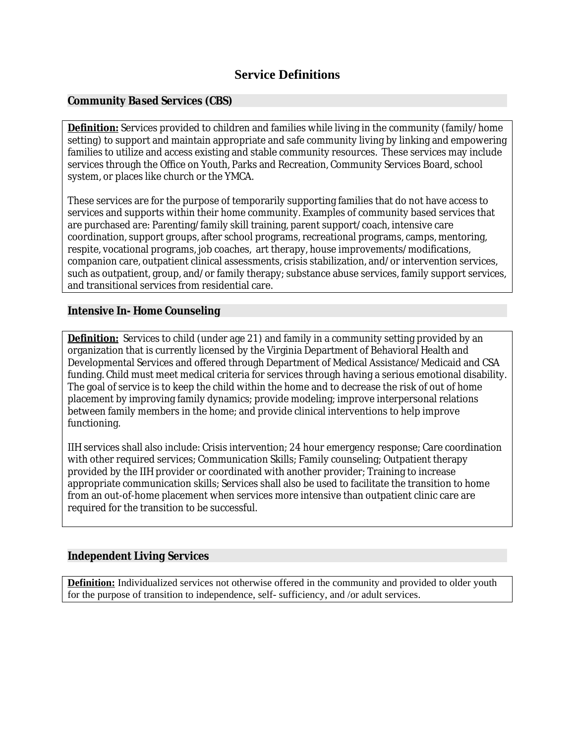## **Service Definitions**

### *Community Based Services (CBS)*

**Definition:** Services provided to children and families while living in the community (family/home setting) to support and maintain appropriate and safe community living by linking and empowering families to utilize and access existing and stable community resources. These services may include services through the Office on Youth, Parks and Recreation, Community Services Board, school system, or places like church or the YMCA.

These services are for the purpose of temporarily supporting families that do not have access to services and supports within their home community. Examples of community based services that are purchased are: Parenting/family skill training, parent support/coach, intensive care coordination, support groups, after school programs, recreational programs, camps, mentoring, respite, vocational programs, job coaches, art therapy, house improvements/modifications, companion care, outpatient clinical assessments, crisis stabilization, and/or intervention services, such as outpatient, group, and/or family therapy; substance abuse services, family support services, and transitional services from residential care.

#### *Intensive In- Home Counseling*

**Definition:** Services to child (under age 21) and family in a community setting provided by an organization that is currently licensed by the Virginia Department of Behavioral Health and Developmental Services and offered through Department of Medical Assistance/Medicaid and CSA funding. Child must meet medical criteria for services through having a serious emotional disability. The goal of service is to keep the child within the home and to decrease the risk of out of home placement by improving family dynamics; provide modeling; improve interpersonal relations between family members in the home; and provide clinical interventions to help improve functioning.

IIH services shall also include: Crisis intervention; 24 hour emergency response; Care coordination with other required services; Communication Skills; Family counseling; Outpatient therapy provided by the IIH provider or coordinated with another provider; Training to increase appropriate communication skills; Services shall also be used to facilitate the transition to home from an out-of-home placement when services more intensive than outpatient clinic care are required for the transition to be successful.

### *Independent Living Services*

**Definition:** Individualized services not otherwise offered in the community and provided to older youth for the purpose of transition to independence, self- sufficiency, and /or adult services.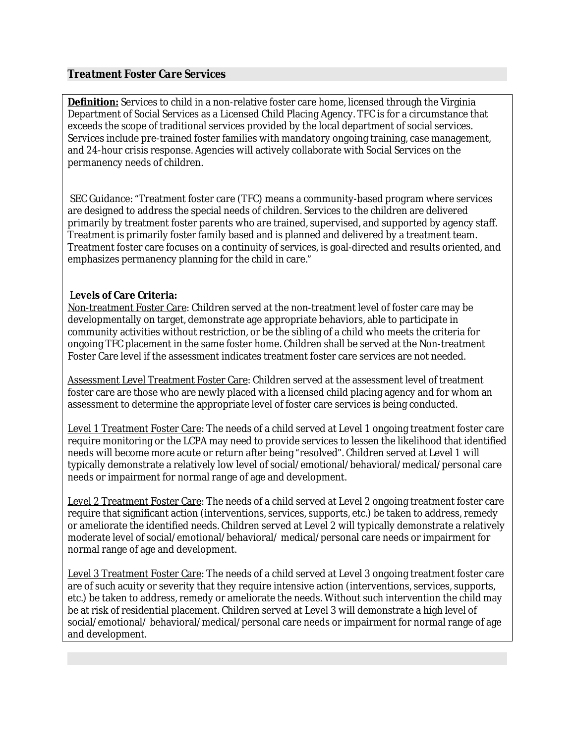### *Treatment Foster Care Services*

**Definition:** Services to child in a non-relative foster care home, licensed through the Virginia Department of Social Services as a Licensed Child Placing Agency. TFC is for a circumstance that exceeds the scope of traditional services provided by the local department of social services. Services include pre-trained foster families with mandatory ongoing training, case management, and 24-hour crisis response. Agencies will actively collaborate with Social Services on the permanency needs of children.

SEC Guidance: "Treatment foster care (TFC) means a community-based program where services are designed to address the special needs of children. Services to the children are delivered primarily by treatment foster parents who are trained, supervised, and supported by agency staff. Treatment is primarily foster family based and is planned and delivered by a treatment team. Treatment foster care focuses on a continuity of services, is goal-directed and results oriented, and emphasizes permanency planning for the child in care."

### L**evels of Care Criteria:**

Non-treatment Foster Care: Children served at the non-treatment level of foster care may be developmentally on target, demonstrate age appropriate behaviors, able to participate in community activities without restriction, or be the sibling of a child who meets the criteria for ongoing TFC placement in the same foster home. Children shall be served at the Non-treatment Foster Care level if the assessment indicates treatment foster care services are not needed.

Assessment Level Treatment Foster Care: Children served at the assessment level of treatment foster care are those who are newly placed with a licensed child placing agency and for whom an assessment to determine the appropriate level of foster care services is being conducted.

Level 1 Treatment Foster Care: The needs of a child served at Level 1 ongoing treatment foster care require monitoring or the LCPA may need to provide services to lessen the likelihood that identified needs will become more acute or return after being "resolved". Children served at Level 1 will typically demonstrate a relatively low level of social/emotional/behavioral/medical/personal care needs or impairment for normal range of age and development.

Level 2 Treatment Foster Care: The needs of a child served at Level 2 ongoing treatment foster care require that significant action (interventions, services, supports, etc.) be taken to address, remedy or ameliorate the identified needs. Children served at Level 2 will typically demonstrate a relatively moderate level of social/emotional/behavioral/ medical/personal care needs or impairment for normal range of age and development.

Level 3 Treatment Foster Care: The needs of a child served at Level 3 ongoing treatment foster care are of such acuity or severity that they require intensive action (interventions, services, supports, etc.) be taken to address, remedy or ameliorate the needs. Without such intervention the child may be at risk of residential placement. Children served at Level 3 will demonstrate a high level of social/emotional/ behavioral/medical/personal care needs or impairment for normal range of age and development.